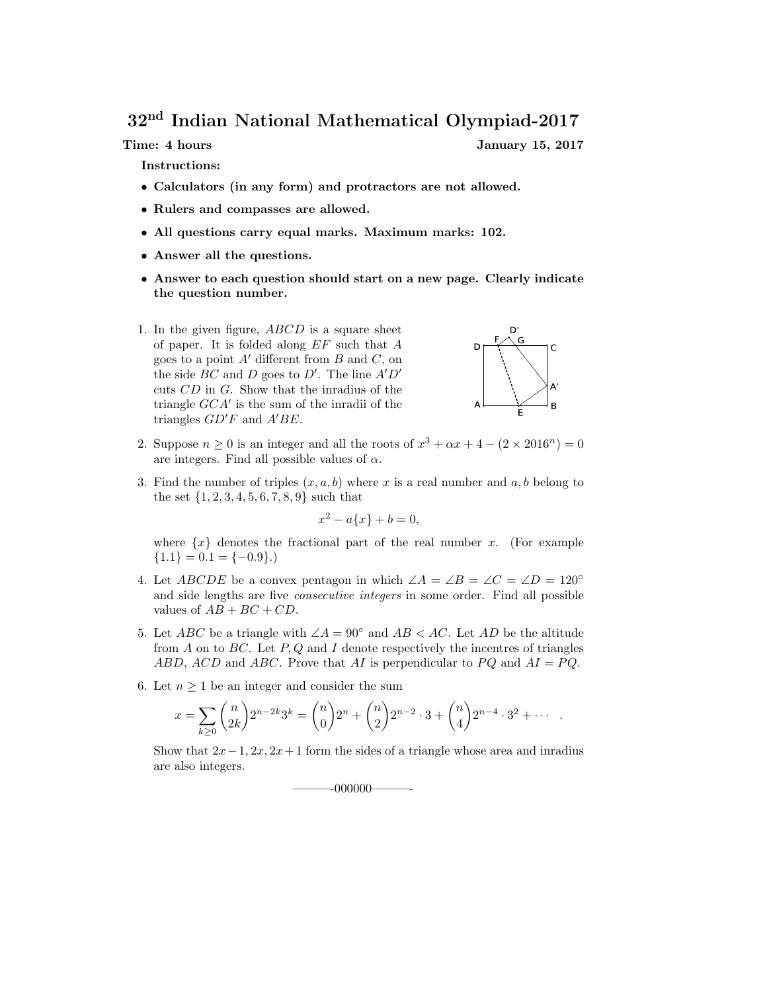32nd Indian National Mathematical Olympiad-2017

Time: 4 hours January 15, 2017

Instructions:

- Calculators (in any form) and protractors are not allowed.
- Rulers and compasses are allowed.
- All questions carry equal marks. Maximum marks: 102.
- Answer all the questions.
- Answer to each question should start on a new page. Clearly indicate the question number.
- 1. In the given figure, ABCD is a square sheet of paper. It is folded along  $EF$  such that  $A$ goes to a point  $A'$  different from  $B$  and  $C$ , on the side  $BC$  and  $D$  goes to  $D'$ . The line  $A'D'$ cuts CD in G. Show that the inradius of the triangle GCA′ is the sum of the inradii of the triangles  $GD'F$  and  $A'BE$ .



- 2. Suppose  $n \ge 0$  is an integer and all the roots of  $x^3 + \alpha x + 4 (2 \times 2016^n) = 0$ are integers. Find all possible values of  $\alpha$ .
- 3. Find the number of triples  $(x, a, b)$  where x is a real number and a, b belong to the set  $\{1, 2, 3, 4, 5, 6, 7, 8, 9\}$  such that

$$
x^2 - a\{x\} + b = 0,
$$

where  $\{x\}$  denotes the fractional part of the real number x. (For example  ${1.1} = 0.1 = {-0.9}.$ 

- 4. Let ABCDE be a convex pentagon in which  $\angle A = \angle B = \angle C = \angle D = 120^{\circ}$ and side lengths are five consecutive integers in some order. Find all possible values of  $AB + BC + CD$ .
- 5. Let ABC be a triangle with  $\angle A = 90^\circ$  and  $AB < AC$ . Let AD be the altitude from  $A$  on to  $BC$ . Let  $P, Q$  and  $I$  denote respectively the incentres of triangles ABD, ACD and ABC. Prove that AI is perpendicular to  $PQ$  and  $AI = PQ$ .
- 6. Let  $n \geq 1$  be an integer and consider the sum

$$
x = \sum_{k \ge 0} {n \choose 2k} 2^{n-2k} 3^k = {n \choose 0} 2^n + {n \choose 2} 2^{n-2} \cdot 3 + {n \choose 4} 2^{n-4} \cdot 3^2 + \cdots
$$

Show that  $2x-1$ ,  $2x$ ,  $2x+1$  form the sides of a triangle whose area and inradius are also integers.

———-000000———-